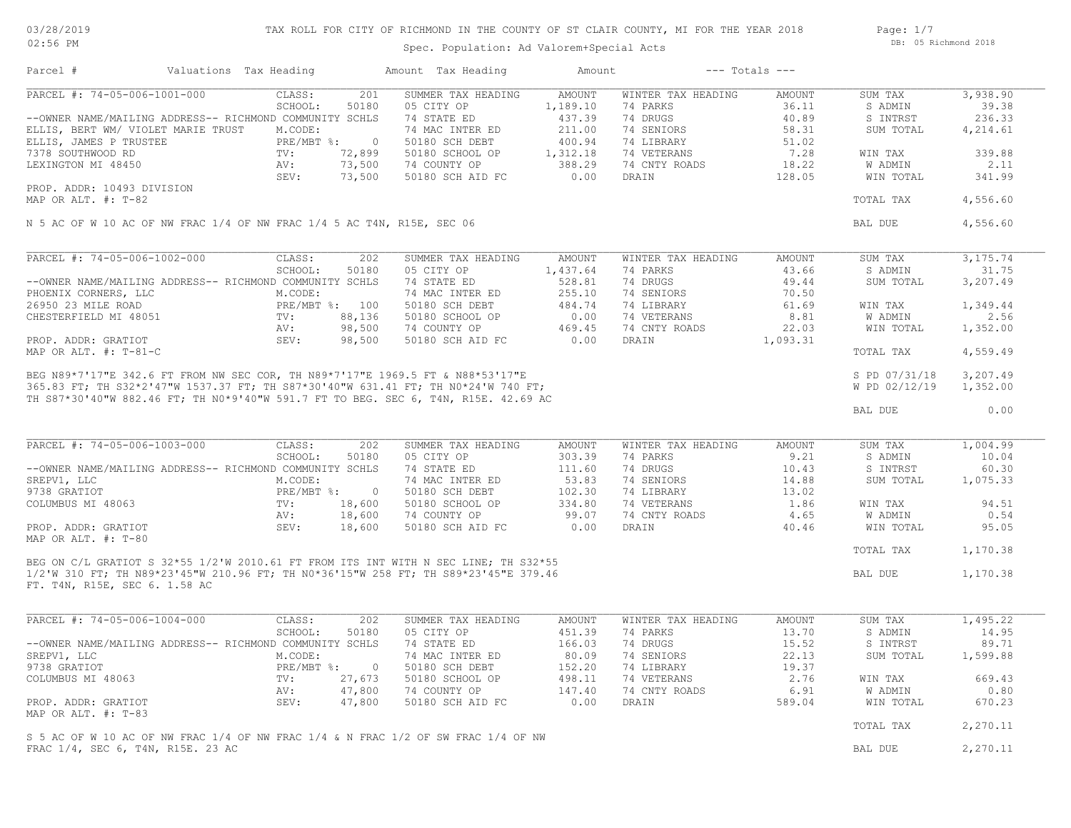03/28/2019 02:56 PM

## TAX ROLL FOR CITY OF RICHMOND IN THE COUNTY OF ST CLAIR COUNTY, MI FOR THE YEAR 2018

Spec. Population: Ad Valorem+Special Acts

Page: 1/7 DB: 05 Richmond 2018

| Parcel #                                                               | Valuations Tax Heading                                             |                | Amount Tax Heading                                                                                                                                                                                                                   | Amount   |                    | $---$ Totals $---$ |               |           |
|------------------------------------------------------------------------|--------------------------------------------------------------------|----------------|--------------------------------------------------------------------------------------------------------------------------------------------------------------------------------------------------------------------------------------|----------|--------------------|--------------------|---------------|-----------|
| PARCEL #: 74-05-006-1001-000                                           | CLASS:                                                             | 201            | SUMMER TAX HEADING                                                                                                                                                                                                                   | AMOUNT   | WINTER TAX HEADING | AMOUNT             | SUM TAX       | 3,938.90  |
|                                                                        | SCHOOL:                                                            | 50180          | 05 CITY OP                                                                                                                                                                                                                           | 1,189.10 | 74 PARKS           | 36.11              | S ADMIN       | 39.38     |
| --OWNER NAME/MAILING ADDRESS-- RICHMOND COMMUNITY SCHLS                |                                                                    |                | 74 STATE ED                                                                                                                                                                                                                          | 437.39   | 74 DRUGS           | 40.89              | S INTRST      | 236.33    |
| ELLIS, BERT WM/ VIOLET MARIE TRUST M.CODE:                             |                                                                    |                | 74 MAC INTER ED                                                                                                                                                                                                                      | 211.00   | 74 SENIORS         | 58.31              | SUM TOTAL     | 4,214.61  |
| ELLIS, JAMES P TRUSTEE                                                 | PRE/MBT %:<br>$^{\mathrm{T}\,\vee}$ . AV : $^{\mathrm{TV}\,\cdot}$ | $\overline{0}$ | 50180 SCH DEBT                                                                                                                                                                                                                       | 400.94   | 74 LIBRARY         | 51.02              |               |           |
| 7378 SOUTHWOOD RD                                                      |                                                                    | 72,899         | 50180 SCHOOL OP                                                                                                                                                                                                                      | 1,312.18 | 74 VETERANS        | 7.28               | WIN TAX       | 339.88    |
| LEXINGTON MI 48450                                                     |                                                                    |                | 73,500 74 COUNTY OP                                                                                                                                                                                                                  | 388.29   | 74 CNTY ROADS      | 18.22              | W ADMIN       | 2.11      |
|                                                                        | 73,500                                                             |                | 50180 SCH AID FC                                                                                                                                                                                                                     | 0.00     | DRAIN              | 128.05             | WIN TOTAL     | 341.99    |
| PROP. ADDR: 10493 DIVISION                                             |                                                                    |                |                                                                                                                                                                                                                                      |          |                    |                    |               |           |
| MAP OR ALT. #: T-82                                                    |                                                                    |                |                                                                                                                                                                                                                                      |          |                    |                    | TOTAL TAX     | 4,556.60  |
| N 5 AC OF W 10 AC OF NW FRAC 1/4 OF NW FRAC 1/4 5 AC T4N, R15E, SEC 06 |                                                                    |                |                                                                                                                                                                                                                                      |          |                    |                    | BAL DUE       | 4,556.60  |
|                                                                        |                                                                    |                |                                                                                                                                                                                                                                      |          |                    |                    |               |           |
| PARCEL #: 74-05-006-1002-000                                           | CLASS:                                                             | 202            | SUMMER TAX HEADING                                                                                                                                                                                                                   | AMOUNT   | WINTER TAX HEADING | AMOUNT             | SUM TAX       | 3, 175.74 |
|                                                                        | SCHOOL:                                                            | 50180          | 05 CITY OP                                                                                                                                                                                                                           | 1,437.64 | 74 PARKS           | 43.66              | S ADMIN       | 31.75     |
| --OWNER NAME/MAILING ADDRESS-- RICHMOND COMMUNITY SCHLS                |                                                                    |                | 74 STATE ED                                                                                                                                                                                                                          | 528.81   | 74 DRUGS           | 49.44              | SUM TOTAL     | 3,207.49  |
| PHOENIX CORNERS, LLC                                                   | M.CODE:                                                            |                | 74 MAC INTER ED                                                                                                                                                                                                                      | 255.10   | 74 SENIORS         | 70.50              |               |           |
| 26950 23 MILE ROAD                                                     | PRE/MBT %: 100                                                     |                | 50180 SCH DEBT                                                                                                                                                                                                                       | 484.74   | 74 LIBRARY         | 61.69              | WIN TAX       | 1,349.44  |
| CHESTERFIELD MI 48051                                                  | TV:                                                                | 88,136         | 50180 SCHOOL OP                                                                                                                                                                                                                      | 0.00     | 74 VETERANS        | 8.81               | W ADMIN       | 2.56      |
|                                                                        | AV:                                                                | 98,500         | 74 COUNTY OP                                                                                                                                                                                                                         | 469.45   | 74 CNTY ROADS      | 22.03              | WIN TOTAL     | 1,352.00  |
| PROP. ADDR: GRATIOT                                                    | SEV:                                                               | 98,500         | 50180 SCH AID FC                                                                                                                                                                                                                     | 0.00     | DRAIN              | 1,093.31           |               |           |
| MAP OR ALT. #: T-81-C                                                  |                                                                    |                |                                                                                                                                                                                                                                      |          |                    |                    | TOTAL TAX     | 4,559.49  |
|                                                                        |                                                                    |                |                                                                                                                                                                                                                                      |          |                    |                    | S PD 07/31/18 | 3,207.49  |
|                                                                        |                                                                    |                | BEG N89*7'17"E 342.6 FT FROM NW SEC COR, TH N89*7'17"E 1969.5 FT & N88*53'17"E<br>365.83 FT, TH S32*2'47"W 1537.37 FT, TH S87*30'40"W 631.41 FT, TH N0*24'W 740 FT,<br>365.83 FT, TH S32*2'47"W 1537.37 FT, TH S87*30'40"W 631.41 FT |          |                    |                    | W PD 02/12/19 | 1,352.00  |
|                                                                        |                                                                    |                |                                                                                                                                                                                                                                      |          |                    |                    |               |           |
|                                                                        |                                                                    |                |                                                                                                                                                                                                                                      |          |                    |                    | BAL DUE       | 0.00      |
| PARCEL #: 74-05-006-1003-000                                           | CLASS:                                                             | 202            | SUMMER TAX HEADING                                                                                                                                                                                                                   | AMOUNT   | WINTER TAX HEADING | AMOUNT             | SUM TAX       | 1,004.99  |
|                                                                        | SCHOOL:                                                            | 50180          | 05 CITY OP                                                                                                                                                                                                                           | 303.39   | 74 PARKS           | 9.21               | S ADMIN       | 10.04     |
| --OWNER NAME/MAILING ADDRESS-- RICHMOND COMMUNITY SCHLS                |                                                                    |                | 74 STATE ED                                                                                                                                                                                                                          | 111.60   | 74 DRUGS           | 10.43              | S INTRST      | 60.30     |
|                                                                        |                                                                    |                |                                                                                                                                                                                                                                      |          |                    |                    |               |           |
| SREPV1, LLC                                                            | M.CODE:                                                            |                | 74 MAC INTER ED                                                                                                                                                                                                                      | 53.83    | 74 SENIORS         | 14.88              | SUM TOTAL     | 1,075.33  |
| 9738 GRATIOT                                                           | PRE/MBT %:                                                         | $\overline{0}$ | 50180 SCH DEBT                                                                                                                                                                                                                       | 102.30   | 74 LIBRARY         | 13.02              |               |           |
| COLUMBUS MI 48063                                                      | TV:                                                                | 18,600         | 50180 SCHOOL OP                                                                                                                                                                                                                      | 334.80   | 74 VETERANS        | 1.86               | WIN TAX       | 94.51     |
|                                                                        | AV:                                                                | 18,600         | 74 COUNTY OP                                                                                                                                                                                                                         | 99.07    | 74 CNTY ROADS      | 4.65               | W ADMIN       | 0.54      |
| PROP. ADDR: GRATIOT                                                    | SEV:                                                               | 18,600         | 50180 SCH AID FC                                                                                                                                                                                                                     | 0.00     | DRAIN              | 40.46              | WIN TOTAL     | 95.05     |
| MAP OR ALT. #: T-80                                                    |                                                                    |                |                                                                                                                                                                                                                                      |          |                    |                    | TOTAL TAX     | 1,170.38  |
|                                                                        |                                                                    |                | BEG ON C/L GRATIOT S 32*55 1/2'W 2010.61 FT FROM ITS INT WITH N SEC LINE; TH S32*55                                                                                                                                                  |          |                    |                    |               |           |
|                                                                        |                                                                    |                | 1/2'W 310 FT; TH N89*23'45"W 210.96 FT; TH N0*36'15"W 258 FT; TH S89*23'45"E 379.46                                                                                                                                                  |          |                    |                    | BAL DUE       | 1,170.38  |
| FT. T4N, R15E, SEC 6. 1.58 AC                                          |                                                                    |                |                                                                                                                                                                                                                                      |          |                    |                    |               |           |
|                                                                        |                                                                    |                |                                                                                                                                                                                                                                      |          |                    |                    |               |           |
| PARCEL #: 74-05-006-1004-000                                           | CLASS:                                                             | 202            | SUMMER TAX HEADING                                                                                                                                                                                                                   | AMOUNT   | WINTER TAX HEADING | AMOUNT             | SUM TAX       | 1,495.22  |
|                                                                        | SCHOOL:                                                            | 50180          | 05 CITY OP                                                                                                                                                                                                                           | 451.39   | 74 PARKS           | 13.70              | S ADMIN       | 14.95     |
| --OWNER NAME/MAILING ADDRESS-- RICHMOND COMMUNITY SCHLS                |                                                                    |                | 74 STATE ED                                                                                                                                                                                                                          | 166.03   | 74 DRUGS           | 15.52              | S INTRST      | 89.71     |
| SREPV1, LLC                                                            | M.CODE:                                                            |                | 74 MAC INTER ED                                                                                                                                                                                                                      | 80.09    | 74 SENIORS         | 22.13              | SUM TOTAL     | 1,599.88  |
| 9738 GRATIOT                                                           | $PRE/MBT$ %:                                                       | $\overline{0}$ | 50180 SCH DEBT                                                                                                                                                                                                                       | 152.20   | 74 LIBRARY         | 19.37              |               |           |
| COLUMBUS MI 48063                                                      | TV:                                                                | 27,673         | 50180 SCHOOL OP                                                                                                                                                                                                                      | 498.11   | 74 VETERANS        | 2.76               | WIN TAX       | 669.43    |
|                                                                        | AV:                                                                | 47,800         | 74 COUNTY OP                                                                                                                                                                                                                         | 147.40   | 74 CNTY ROADS      | 6.91               | W ADMIN       | 0.80      |
| PROP. ADDR: GRATIOT                                                    | SEV:                                                               | 47,800         | 50180 SCH AID FC                                                                                                                                                                                                                     | 0.00     | DRAIN              | 589.04             | WIN TOTAL     | 670.23    |
| MAP OR ALT. #: T-83                                                    |                                                                    |                |                                                                                                                                                                                                                                      |          |                    |                    |               |           |
|                                                                        |                                                                    |                |                                                                                                                                                                                                                                      |          |                    |                    | TOTAL TAX     | 2,270.11  |
|                                                                        |                                                                    |                | S 5 AC OF W 10 AC OF NW FRAC 1/4 OF NW FRAC 1/4 & N FRAC 1/2 OF SW FRAC 1/4 OF NW                                                                                                                                                    |          |                    |                    |               |           |
| FRAC 1/4, SEC 6, T4N, R15E. 23 AC                                      |                                                                    |                |                                                                                                                                                                                                                                      |          |                    |                    | BAL DUE       | 2,270.11  |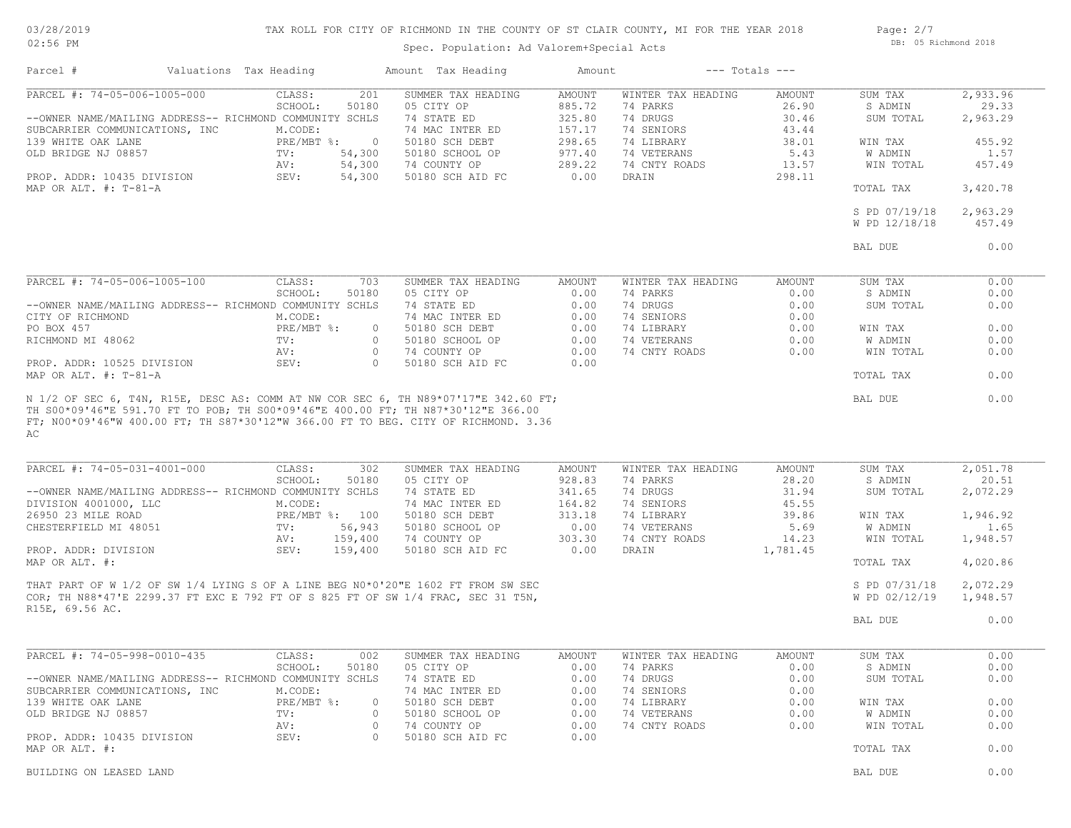03/28/2019 02:56 PM

## TAX ROLL FOR CITY OF RICHMOND IN THE COUNTY OF ST CLAIR COUNTY, MI FOR THE YEAR 2018

Spec. Population: Ad Valorem+Special Acts

Page: 2/7 DB: 05 Richmond 2018

| Parcel #                                                | Valuations Tax Heading |                                                         | Amount Tax Heading                                                                                                                                                   | Amount                  |                                | $---$ Totals $---$     |                                |                      |
|---------------------------------------------------------|------------------------|---------------------------------------------------------|----------------------------------------------------------------------------------------------------------------------------------------------------------------------|-------------------------|--------------------------------|------------------------|--------------------------------|----------------------|
| PARCEL #: 74-05-006-1005-000                            |                        | CLASS:                                                  | SUMMER TAX HEADING<br>201                                                                                                                                            | <b>AMOUNT</b>           | WINTER TAX HEADING<br>74 PARKS | AMOUNT                 | SUM TAX                        | 2,933.96<br>29.33    |
| --OWNER NAME/MAILING ADDRESS-- RICHMOND COMMUNITY SCHLS |                        | 50180<br>SCHOOL:                                        | 05 CITY OP<br>74 STATE ED                                                                                                                                            | 885.72<br>325.80        | 74 DRUGS                       | 26.90<br>30.46         | S ADMIN<br>SUM TOTAL           | 2,963.29             |
| SUBCARRIER COMMUNICATIONS, INC                          |                        | M.CODE:                                                 | 74 MAC INTER ED                                                                                                                                                      | 157.17                  | 74 SENIORS                     | 43.44                  |                                |                      |
| 139 WHITE OAK LANE                                      |                        | PRE/MBT %:<br>$\overline{0}$                            | 50180 SCH DEBT                                                                                                                                                       | 298.65                  | 74 LIBRARY                     | 38.01                  | WIN TAX                        | 455.92               |
| OLD BRIDGE NJ 08857                                     |                        | TV:<br>54,300                                           | 50180 SCHOOL OP                                                                                                                                                      | 977.40                  | 74 VETERANS                    | 5.43                   | W ADMIN                        | 1.57                 |
|                                                         |                        | 54,300<br>AV:                                           | 74 COUNTY OP                                                                                                                                                         | 289.22                  | 74 CNTY ROADS                  | 13.57                  | WIN TOTAL                      | 457.49               |
| PROP. ADDR: 10435 DIVISION<br>MAP OR ALT. $\#$ : T-81-A |                        | SEV:<br>54,300                                          | 50180 SCH AID FC                                                                                                                                                     | 0.00                    | DRAIN                          | 298.11                 | TOTAL TAX                      | 3,420.78             |
|                                                         |                        |                                                         |                                                                                                                                                                      |                         |                                |                        | S PD 07/19/18<br>W PD 12/18/18 | 2,963.29<br>457.49   |
|                                                         |                        |                                                         |                                                                                                                                                                      |                         |                                |                        | BAL DUE                        | 0.00                 |
|                                                         |                        |                                                         |                                                                                                                                                                      |                         |                                |                        |                                |                      |
| PARCEL #: 74-05-006-1005-100                            |                        | CLASS:                                                  | 703<br>SUMMER TAX HEADING                                                                                                                                            | AMOUNT                  | WINTER TAX HEADING             | AMOUNT                 | SUM TAX                        | 0.00                 |
|                                                         |                        | SCHOOL:<br>50180                                        | 05 CITY OP                                                                                                                                                           | 0.00                    | 74 PARKS                       | 0.00                   | S ADMIN                        | 0.00                 |
| --OWNER NAME/MAILING ADDRESS-- RICHMOND COMMUNITY SCHLS |                        |                                                         | 74 STATE ED                                                                                                                                                          | 0.00                    | 74 DRUGS                       | 0.00                   | SUM TOTAL                      | 0.00                 |
| CITY OF RICHMOND                                        |                        | M.CODE:                                                 | 74 MAC INTER ED                                                                                                                                                      | 0.00                    | 74 SENIORS                     | 0.00                   |                                |                      |
| PO BOX 457                                              |                        | PRE/MBT %:                                              | 50180 SCH DEBT<br>$\circ$                                                                                                                                            | 0.00                    | 74 LIBRARY                     | 0.00                   | WIN TAX                        | 0.00                 |
| RICHMOND MI 48062                                       |                        | TV:                                                     | $\circ$<br>50180 SCHOOL OP                                                                                                                                           | 0.00                    | 74 VETERANS                    | 0.00                   | W ADMIN                        | 0.00                 |
|                                                         |                        | AV:                                                     | $\circ$<br>74 COUNTY OP                                                                                                                                              | 0.00                    | 74 CNTY ROADS                  | 0.00                   | WIN TOTAL                      | 0.00                 |
| PROP. ADDR: 10525 DIVISION<br>MAP OR ALT. #: T-81-A     |                        | SEV:                                                    | $\Omega$<br>50180 SCH AID FC                                                                                                                                         | 0.00                    |                                |                        | TOTAL TAX                      | 0.00                 |
|                                                         |                        |                                                         |                                                                                                                                                                      |                         |                                |                        |                                |                      |
| AC                                                      |                        |                                                         |                                                                                                                                                                      |                         |                                |                        |                                |                      |
| PARCEL #: 74-05-031-4001-000                            |                        | CLASS:<br>SCHOOL:<br>50180                              | SUMMER TAX HEADING<br>302<br>05 CITY OP                                                                                                                              | <b>AMOUNT</b><br>928.83 | WINTER TAX HEADING<br>74 PARKS | <b>AMOUNT</b><br>28.20 | SUM TAX<br>S ADMIN             | 2,051.78<br>20.51    |
| --OWNER NAME/MAILING ADDRESS-- RICHMOND COMMUNITY SCHLS |                        |                                                         | 74 STATE ED                                                                                                                                                          | 341.65                  | 74 DRUGS                       | 31.94                  | SUM TOTAL                      | 2,072.29             |
| DIVISION 4001000, LLC                                   |                        | M.CODE:                                                 | 74 MAC INTER ED                                                                                                                                                      | 164.82                  | 74 SENIORS                     | 45.55                  |                                |                      |
| 26950 23 MILE ROAD                                      |                        | PRE/MBT %: 100                                          | 50180 SCH DEBT                                                                                                                                                       | 313.18                  | 74 LIBRARY                     | 39.86                  | WIN TAX                        | 1,946.92             |
| CHESTERFIELD MI 48051                                   |                        | 56,943<br>TV:                                           | 50180 SCHOOL OP                                                                                                                                                      | 0.00                    | 74 VETERANS                    | 5.69                   | W ADMIN                        | 1.65                 |
|                                                         |                        | 159,400<br>AV:                                          | 74 COUNTY OP                                                                                                                                                         | 303.30                  | 74 CNTY ROADS                  | 14.23                  | WIN TOTAL                      | 1,948.57             |
| PROP. ADDR: DIVISION<br>MAP OR ALT. #:                  |                        | SEV:<br>159,400                                         | 50180 SCH AID FC                                                                                                                                                     | 0.00                    | DRAIN                          | 1,781.45               | TOTAL TAX                      | 4,020.86             |
|                                                         |                        |                                                         |                                                                                                                                                                      |                         |                                |                        |                                |                      |
|                                                         |                        |                                                         | THAT PART OF W 1/2 OF SW 1/4 LYING S OF A LINE BEG N0*0'20"E 1602 FT FROM SW SEC<br>COR; TH N88*47'E 2299.37 FT EXC E 792 FT OF S 825 FT OF SW 1/4 FRAC, SEC 31 T5N, |                         |                                |                        | S PD 07/31/18<br>W PD 02/12/19 | 2,072.29<br>1,948.57 |
| R15E, 69.56 AC.                                         |                        |                                                         |                                                                                                                                                                      |                         |                                |                        |                                |                      |
|                                                         |                        |                                                         |                                                                                                                                                                      |                         |                                |                        | BAL DUE                        | 0.00                 |
| PARCEL #: 74-05-998-0010-435                            |                        | CLASS:                                                  | 002<br>SUMMER TAX HEADING                                                                                                                                            | AMOUNT                  | WINTER TAX HEADING             | AMOUNT                 | SUM TAX                        | 0.00                 |
|                                                         |                        | SCHOOL:                                                 | 50180<br>05 CITY OP                                                                                                                                                  | 0.00                    | 74 PARKS                       | 0.00                   | S ADMIN                        | 0.00                 |
|                                                         |                        | --OWNER NAME/MAILING ADDRESS-- RICHMOND COMMUNITY SCHLS | 74 STATE ED                                                                                                                                                          | 0.00                    | 74 DRUGS                       | 0.00                   | SUM TOTAL                      | 0.00                 |
| SUBCARRIER COMMUNICATIONS, INC                          |                        | M.CODE:                                                 | 74 MAC INTER ED                                                                                                                                                      | 0.00                    | 74 SENIORS                     | 0.00                   |                                |                      |
| 139 WHITE OAK LANE                                      |                        | $PRE/MBT$ $\div$                                        | 50180 SCH DEBT<br>$\circ$                                                                                                                                            | 0.00                    | 74 LIBRARY                     | 0.00                   | WIN TAX                        | 0.00                 |
| OLD BRIDGE NJ 08857                                     |                        | $\text{TV}$ :                                           | 50180 SCHOOL OP<br>$\circ$                                                                                                                                           | 0.00                    | 74 VETERANS                    | 0.00                   | W ADMIN                        | 0.00                 |
|                                                         |                        | AV:                                                     | $\circ$<br>74 COUNTY OP                                                                                                                                              | 0.00                    | 74 CNTY ROADS                  | 0.00                   | WIN TOTAL                      | 0.00                 |
| PROP. ADDR: 10435 DIVISION                              |                        | SEV:                                                    | $\circ$<br>50180 SCH AID FC                                                                                                                                          | 0.00                    |                                |                        |                                |                      |
| MAP OR ALT. #:                                          |                        |                                                         |                                                                                                                                                                      |                         |                                |                        | TOTAL TAX                      | 0.00                 |
| BUILDING ON LEASED LAND                                 |                        |                                                         |                                                                                                                                                                      |                         |                                |                        | BAL DUE                        | 0.00                 |
|                                                         |                        |                                                         |                                                                                                                                                                      |                         |                                |                        |                                |                      |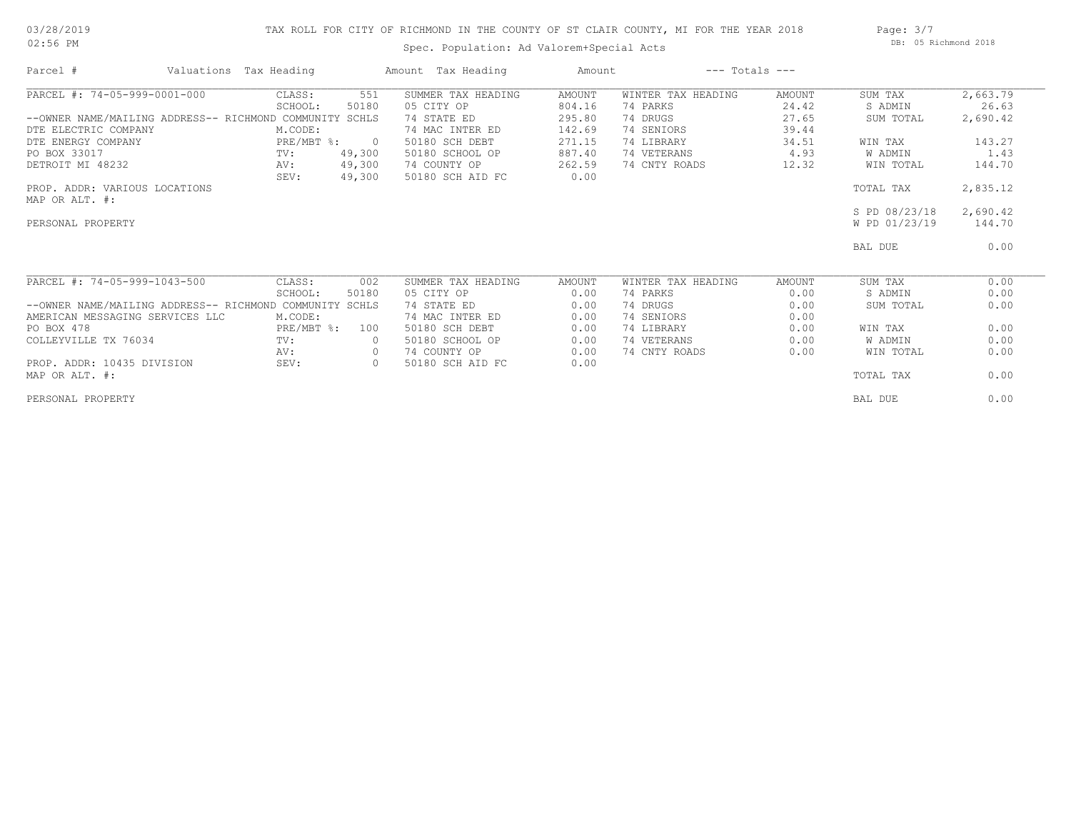## 03/28/2019 02:56 PM

## TAX ROLL FOR CITY OF RICHMOND IN THE COUNTY OF ST CLAIR COUNTY, MI FOR THE YEAR 2018

Spec. Population: Ad Valorem+Special Acts

| Page: $3/7$ |                      |  |
|-------------|----------------------|--|
|             | DB: 05 Richmond 2018 |  |

| Parcel #                                                | Valuations Tax Heading |                | Amount Tax Heading | Amount        |                    | $---$ Totals $---$ |               |          |
|---------------------------------------------------------|------------------------|----------------|--------------------|---------------|--------------------|--------------------|---------------|----------|
| PARCEL #: 74-05-999-0001-000                            | CLASS:                 | 551            | SUMMER TAX HEADING | <b>AMOUNT</b> | WINTER TAX HEADING | AMOUNT             | SUM TAX       | 2,663.79 |
|                                                         | SCHOOL:                | 50180          | 05 CITY OP         | 804.16        | 74 PARKS           | 24.42              | S ADMIN       | 26.63    |
| --OWNER NAME/MAILING ADDRESS-- RICHMOND COMMUNITY SCHLS |                        |                | 74 STATE ED        | 295.80        | 74 DRUGS           | 27.65              | SUM TOTAL     | 2,690.42 |
| DTE ELECTRIC COMPANY                                    | M.CODE:                |                | 74 MAC INTER ED    | 142.69        | 74 SENIORS         | 39.44              |               |          |
| DTE ENERGY COMPANY                                      | PRE/MBT %:             | $\overline{0}$ | 50180 SCH DEBT     | 271.15        | 74 LIBRARY         | 34.51              | WIN TAX       | 143.27   |
| PO BOX 33017                                            | TV:                    | 49,300         | 50180 SCHOOL OP    | 887.40        | 74 VETERANS        | 4.93               | W ADMIN       | 1.43     |
| DETROIT MI 48232                                        | AV:                    | 49,300         | 74 COUNTY OP       | 262.59        | 74 CNTY ROADS      | 12.32              | WIN TOTAL     | 144.70   |
|                                                         | SEV:                   | 49,300         | 50180 SCH AID FC   | 0.00          |                    |                    |               |          |
| PROP. ADDR: VARIOUS LOCATIONS                           |                        |                |                    |               |                    |                    | TOTAL TAX     | 2,835.12 |
| MAP OR ALT. #:                                          |                        |                |                    |               |                    |                    |               |          |
|                                                         |                        |                |                    |               |                    |                    | S PD 08/23/18 | 2,690.42 |
| PERSONAL PROPERTY                                       |                        |                |                    |               |                    |                    | W PD 01/23/19 | 144.70   |
|                                                         |                        |                |                    |               |                    |                    | BAL DUE       | 0.00     |
| PARCEL #: 74-05-999-1043-500                            | CLASS:                 | 002            | SUMMER TAX HEADING | AMOUNT        | WINTER TAX HEADING | AMOUNT             | SUM TAX       | 0.00     |
|                                                         | SCHOOL:                | 50180          | 05 CITY OP         | 0.00          | 74 PARKS           | 0.00               | S ADMIN       | 0.00     |
| --OWNER NAME/MAILING ADDRESS-- RICHMOND COMMUNITY SCHLS |                        |                | 74 STATE ED        | 0.00          | 74 DRUGS           | 0.00               | SUM TOTAL     | 0.00     |
| AMERICAN MESSAGING SERVICES LLC                         | M.CODE:                |                | 74 MAC INTER ED    | 0.00          | 74 SENIORS         | 0.00               |               |          |
| PO BOX 478                                              | PRE/MBT %:             | 100            | 50180 SCH DEBT     | 0.00          | 74 LIBRARY         | 0.00               | WIN TAX       | 0.00     |
| COLLEYVILLE TX 76034                                    | TV:                    | $\circ$        | 50180 SCHOOL OP    | 0.00          | 74 VETERANS        | 0.00               | W ADMIN       | 0.00     |
|                                                         | AV:                    | $\circ$        | 74 COUNTY OP       | 0.00          | 74 CNTY ROADS      | 0.00               | WIN TOTAL     | 0.00     |
| PROP. ADDR: 10435 DIVISION                              | SEV:                   | $\circ$        | 50180 SCH AID FC   | 0.00          |                    |                    |               |          |
| MAP OR ALT. #:                                          |                        |                |                    |               |                    |                    | TOTAL TAX     | 0.00     |
| PERSONAL PROPERTY                                       |                        |                |                    |               |                    |                    | BAL DUE       | 0.00     |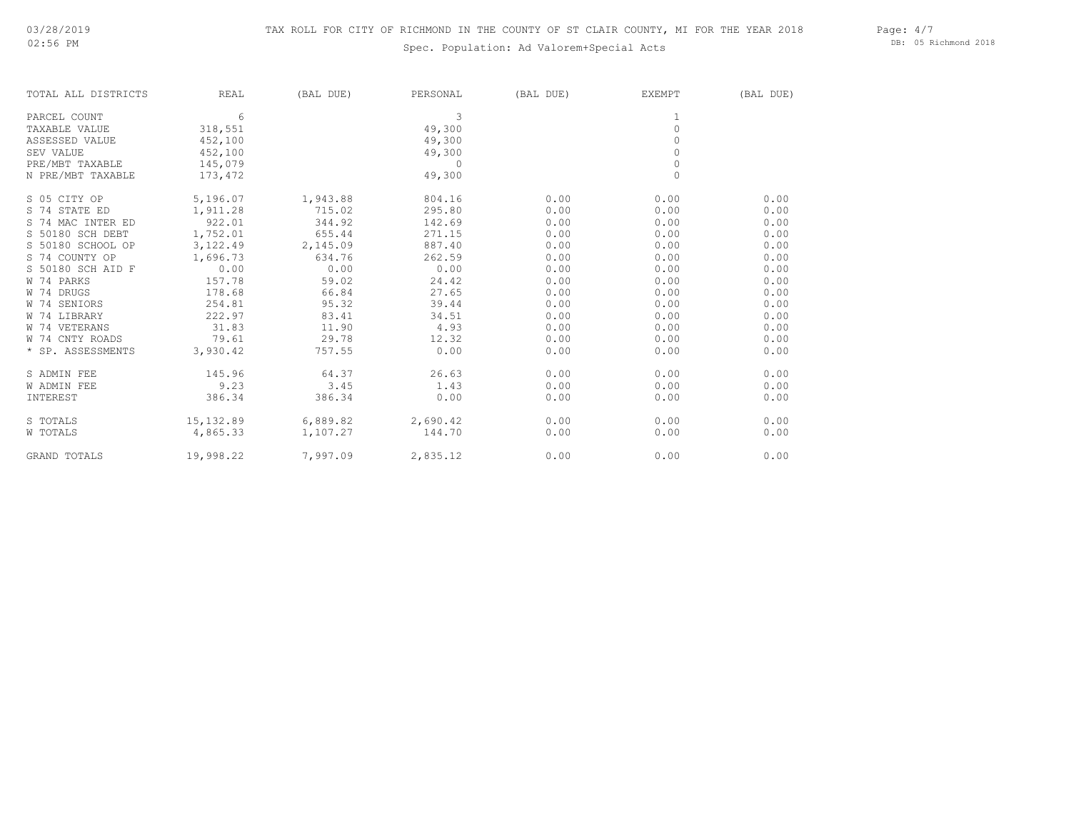## Spec. Population: Ad Valorem+Special Acts

Page: 4/7 DB: 05 Richmond 2018

| TOTAL ALL DISTRICTS | <b>REAL</b> | (BAL DUE) | PERSONAL   | (BAL DUE) | EXEMPT       | (BAL DUE) |
|---------------------|-------------|-----------|------------|-----------|--------------|-----------|
| PARCEL COUNT        | 6           |           | 3          |           | 1            |           |
| TAXABLE VALUE       | 318,551     |           | 49,300     |           | $\circ$      |           |
| ASSESSED VALUE      | 452,100     |           | 49,300     |           | $\bigcap$    |           |
| <b>SEV VALUE</b>    | 452,100     |           | 49,300     |           | $\Omega$     |           |
| PRE/MBT TAXABLE     | 145,079     |           | $\bigcirc$ |           | $\mathbf{0}$ |           |
| N PRE/MBT TAXABLE   | 173,472     |           | 49,300     |           | $\Omega$     |           |
| S 05 CITY OP        | 5,196.07    | 1,943.88  | 804.16     | 0.00      | 0.00         | 0.00      |
| S 74 STATE ED       | 1,911.28    | 715.02    | 295.80     | 0.00      | 0.00         | 0.00      |
| S 74 MAC INTER ED   | 922.01      | 344.92    | 142.69     | 0.00      | 0.00         | 0.00      |
| S 50180 SCH DEBT    | 1,752.01    | 655.44    | 271.15     | 0.00      | 0.00         | 0.00      |
| S 50180 SCHOOL OP   | 3,122.49    | 2,145.09  | 887.40     | 0.00      | 0.00         | 0.00      |
| S 74 COUNTY OP      | 1,696.73    | 634.76    | 262.59     | 0.00      | 0.00         | 0.00      |
| S 50180 SCH AID F   | 0.00        | 0.00      | 0.00       | 0.00      | 0.00         | 0.00      |
| W 74 PARKS          | 157.78      | 59.02     | 24.42      | 0.00      | 0.00         | 0.00      |
| W 74 DRUGS          | 178.68      | 66.84     | 27.65      | 0.00      | 0.00         | 0.00      |
| W 74 SENIORS        | 254.81      | 95.32     | 39.44      | 0.00      | 0.00         | 0.00      |
| W 74 LIBRARY        | 222.97      | 83.41     | 34.51      | 0.00      | 0.00         | 0.00      |
| W 74 VETERANS       | 31.83       | 11.90     | 4.93       | 0.00      | 0.00         | 0.00      |
| W 74 CNTY ROADS     | 79.61       | 29.78     | 12.32      | 0.00      | 0.00         | 0.00      |
| * SP. ASSESSMENTS   | 3,930.42    | 757.55    | 0.00       | 0.00      | 0.00         | 0.00      |
| S ADMIN FEE         | 145.96      | 64.37     | 26.63      | 0.00      | 0.00         | 0.00      |
| W ADMIN FEE         | 9.23        | 3.45      | 1.43       | 0.00      | 0.00         | 0.00      |
| INTEREST            | 386.34      | 386.34    | 0.00       | 0.00      | 0.00         | 0.00      |
| S TOTALS            | 15,132.89   | 6,889.82  | 2,690.42   | 0.00      | 0.00         | 0.00      |
| W TOTALS            | 4,865.33    | 1,107.27  | 144.70     | 0.00      | 0.00         | 0.00      |
| GRAND TOTALS        | 19,998.22   | 7,997.09  | 2,835.12   | 0.00      | 0.00         | 0.00      |
|                     |             |           |            |           |              |           |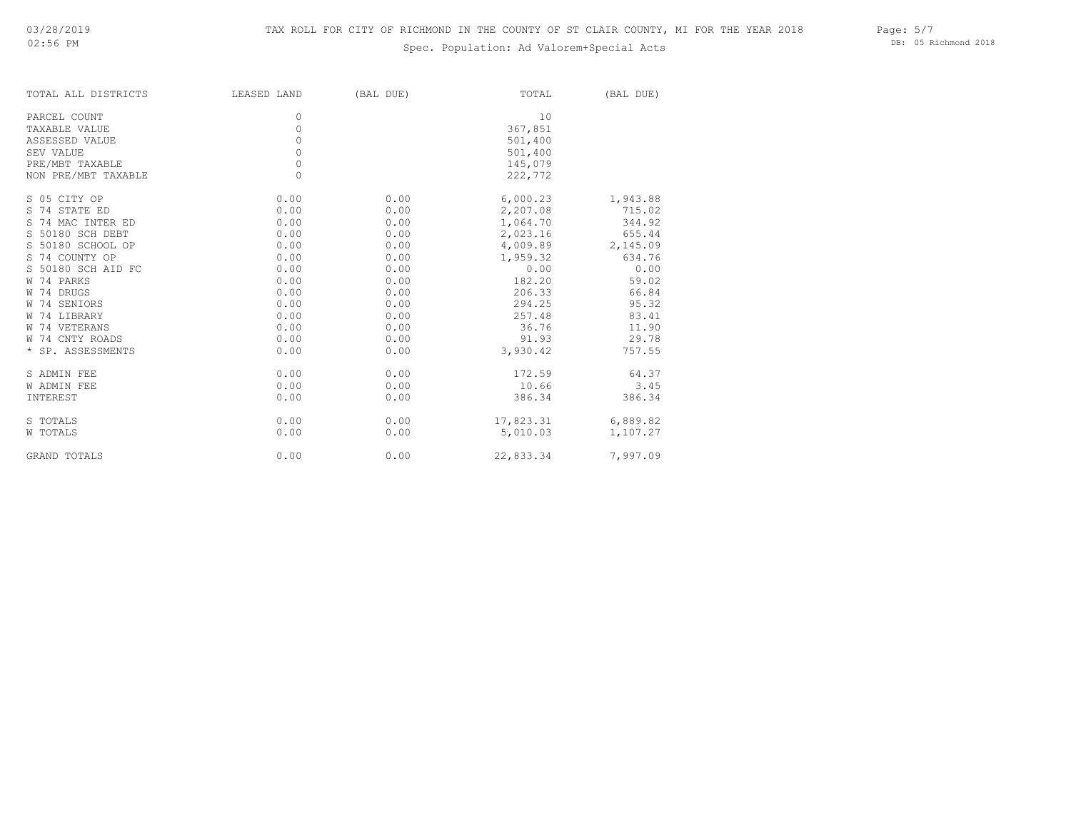## Spec. Population: Ad Valorem+Special Acts

Page: 5/7 DB: 05 Richmond 2018

| TOTAL ALL DISTRICTS | LEASED LAND | (BAL DUE) | TOTAL     | (BAL DUE) |
|---------------------|-------------|-----------|-----------|-----------|
| PARCEL COUNT        | 0           |           | 10        |           |
| TAXABLE VALUE       | $\circ$     |           | 367,851   |           |
| ASSESSED VALUE      | 0           |           | 501,400   |           |
| SEV VALUE           | 0           |           | 501,400   |           |
| PRE/MBT TAXABLE     | $\circ$     |           | 145,079   |           |
| NON PRE/MBT TAXABLE | $\circ$     |           | 222,772   |           |
| S 05 CITY OP        | 0.00        | 0.00      | 6,000.23  | 1,943.88  |
| S 74 STATE ED       | 0.00        | 0.00      | 2,207.08  | 715.02    |
| S 74 MAC INTER ED   | 0.00        | 0.00      | 1,064.70  | 344.92    |
| S 50180 SCH DEBT    | 0.00        | 0.00      | 2,023.16  | 655.44    |
| S 50180 SCHOOL OP   | 0.00        | 0.00      | 4,009.89  | 2,145.09  |
| S 74 COUNTY OP      | 0.00        | 0.00      | 1,959.32  | 634.76    |
| S 50180 SCH AID FC  | 0.00        | 0.00      | 0.00      | 0.00      |
| W 74 PARKS          | 0.00        | 0.00      | 182.20    | 59.02     |
| W 74 DRUGS          | 0.00        | 0.00      | 206.33    | 66.84     |
| W 74 SENIORS        | 0.00        | 0.00      | 294.25    | 95.32     |
| W 74 LIBRARY        | 0.00        | 0.00      | 257.48    | 83.41     |
| W 74 VETERANS       | 0.00        | 0.00      | 36.76     | 11.90     |
| W 74 CNTY ROADS     | 0.00        | 0.00      | 91.93     | 29.78     |
| * SP. ASSESSMENTS   | 0.00        | 0.00      | 3,930.42  | 757.55    |
| S ADMIN FEE         | 0.00        | 0.00      | 172.59    | 64.37     |
| W ADMIN FEE         | 0.00        | 0.00      | 10.66     | 3.45      |
| INTEREST            | 0.00        | 0.00      | 386.34    | 386.34    |
| S TOTALS            | 0.00        | 0.00      | 17,823.31 | 6,889.82  |
| W TOTALS            | 0.00        | 0.00      | 5,010.03  | 1,107.27  |
| GRAND TOTALS        | 0.00        | 0.00      | 22,833.34 | 7,997.09  |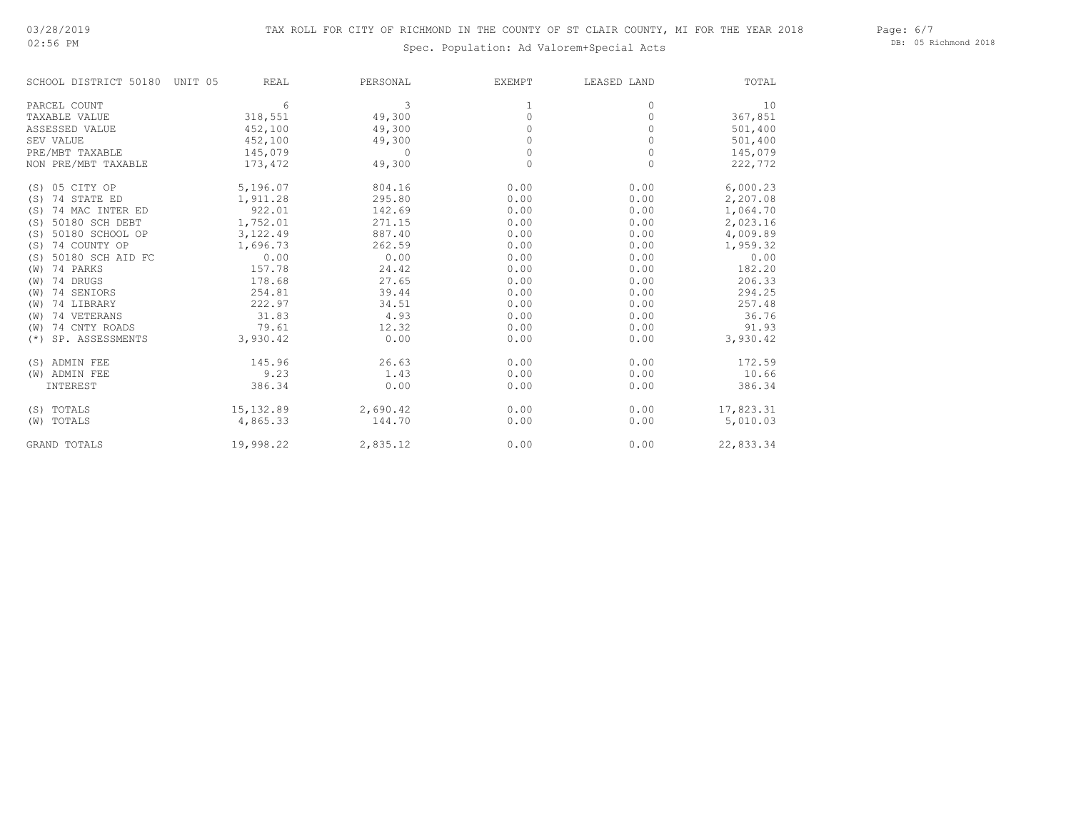02:56 PM

# Spec. Population: Ad Valorem+Special Acts

Page: 6/7 DB: 05 Richmond 2018

| SCHOOL DISTRICT 50180 UNIT 05 | <b>REAL</b> | PERSONAL     | EXEMPT  | LEASED LAND | TOTAL     |
|-------------------------------|-------------|--------------|---------|-------------|-----------|
| PARCEL COUNT                  | 6           | 3            | 1       | 0           | 10        |
| TAXABLE VALUE                 | 318,551     | 49,300       | $\circ$ | 0           | 367,851   |
| ASSESSED VALUE                | 452,100     | 49,300       | 0       | 0           | 501,400   |
| SEV VALUE                     | 452,100     | 49,300       |         | 0           | 501,400   |
| PRE/MBT TAXABLE               | 145,079     | $\mathbf{0}$ | 0       | 0           | 145,079   |
| NON PRE/MBT TAXABLE           | 173,472     | 49,300       | $\circ$ | $\circ$     | 222,772   |
| (S) 05 CITY OP                | 5,196.07    | 804.16       | 0.00    | 0.00        | 6,000.23  |
| (S) 74 STATE ED               | 1,911.28    | 295.80       | 0.00    | 0.00        | 2,207.08  |
| (S) 74 MAC INTER ED           | 922.01      | 142.69       | 0.00    | 0.00        | 1,064.70  |
| (S) 50180 SCH DEBT            | 1,752.01    | 271.15       | 0.00    | 0.00        | 2,023.16  |
| (S) 50180 SCHOOL OP           | 3,122.49    | 887.40       | 0.00    | 0.00        | 4,009.89  |
| (S) 74 COUNTY OP              | 1,696.73    | 262.59       | 0.00    | 0.00        | 1,959.32  |
| (S) 50180 SCH AID FC          | 0.00        | 0.00         | 0.00    | 0.00        | 0.00      |
| (W) 74 PARKS                  | 157.78      | 24.42        | 0.00    | 0.00        | 182.20    |
| $(W)$ 74 DRUGS                | 178.68      | 27.65        | 0.00    | 0.00        | 206.33    |
| (W) 74 SENIORS                | 254.81      | 39.44        | 0.00    | 0.00        | 294.25    |
| 74 LIBRARY<br>(W)             | 222.97      | 34.51        | 0.00    | 0.00        | 257.48    |
| (W) 74 VETERANS               | 31.83       | 4.93         | 0.00    | 0.00        | 36.76     |
| 74 CNTY ROADS<br>(W)          | 79.61       | 12.32        | 0.00    | 0.00        | 91.93     |
| (*) SP. ASSESSMENTS           | 3,930.42    | 0.00         | 0.00    | 0.00        | 3,930.42  |
| (S) ADMIN FEE                 | 145.96      | 26.63        | 0.00    | 0.00        | 172.59    |
| (W) ADMIN FEE                 | 9.23        | 1.43         | 0.00    | 0.00        | 10.66     |
| INTEREST                      | 386.34      | 0.00         | 0.00    | 0.00        | 386.34    |
| (S) TOTALS                    | 15, 132.89  | 2,690.42     | 0.00    | 0.00        | 17,823.31 |
| (W) TOTALS                    | 4,865.33    | 144.70       | 0.00    | 0.00        | 5,010.03  |
| <b>GRAND TOTALS</b>           | 19,998.22   | 2,835.12     | 0.00    | 0.00        | 22,833.34 |